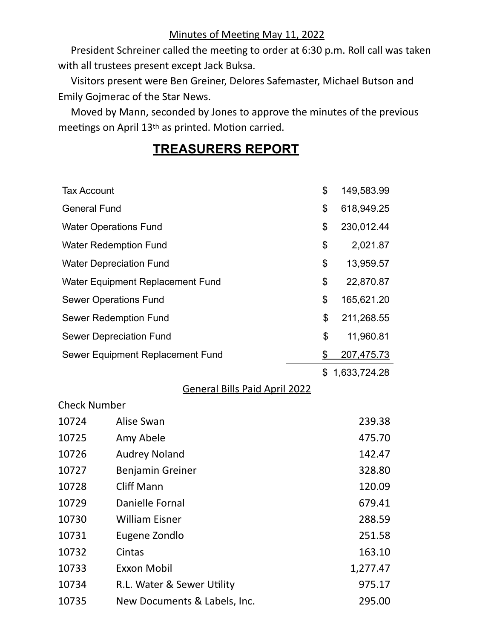### Minutes of Meeting May 11, 2022

President Schreiner called the meeting to order at 6:30 p.m. Roll call was taken with all trustees present except Jack Buksa.

 Visitors present were Ben Greiner, Delores Safemaster, Michael Butson and Emily Gojmerac of the Star News.

 Moved by Mann, seconded by Jones to approve the minutes of the previous meetings on April 13<sup>th</sup> as printed. Motion carried.

## **TREASURERS REPORT**

| <b>Tax Account</b>  |                                      | \$             | 149,583.99        |
|---------------------|--------------------------------------|----------------|-------------------|
| <b>General Fund</b> |                                      | \$             | 618,949.25        |
|                     | <b>Water Operations Fund</b>         | \$             | 230,012.44        |
|                     | <b>Water Redemption Fund</b>         | \$             | 2,021.87          |
|                     | <b>Water Depreciation Fund</b>       | \$             | 13,959.57         |
|                     | Water Equipment Replacement Fund     | \$             | 22,870.87         |
|                     | <b>Sewer Operations Fund</b>         | \$             | 165,621.20        |
|                     | <b>Sewer Redemption Fund</b>         | \$             | 211,268.55        |
|                     | <b>Sewer Depreciation Fund</b>       | \$             | 11,960.81         |
|                     | Sewer Equipment Replacement Fund     | $\mathfrak{D}$ | <u>207,475.73</u> |
|                     |                                      | \$             | 1,633,724.28      |
|                     | <b>General Bills Paid April 2022</b> |                |                   |
| <b>Check Number</b> |                                      |                |                   |
| 10724               | Alise Swan                           |                | 239.38            |
| 10725               | Amy Abele                            |                | 475.70            |
| 10726               | <b>Audrey Noland</b>                 |                | 142.47            |
| 10727               | Benjamin Greiner                     |                | 328.80            |
| 10728               | <b>Cliff Mann</b>                    |                | 120.09            |
| 10729               | <b>Danielle Fornal</b>               |                | 679.41            |
| 10730               | <b>William Eisner</b>                |                | 288.59            |
| 10731               | Eugene Zondlo                        |                | 251.58            |
| 10732               | Cintas                               |                | 163.10            |
| 10733               | <b>Exxon Mobil</b>                   |                | 1,277.47          |
| 10734               | R.L. Water & Sewer Utility           |                | 975.17            |
| 10735               | New Documents & Labels, Inc.         |                | 295.00            |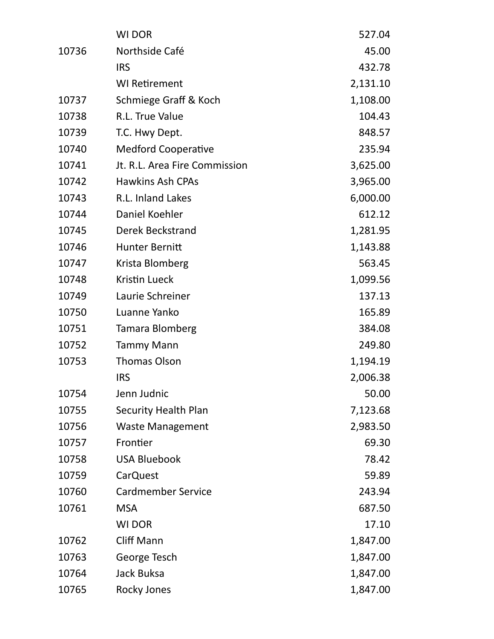|       | <b>WI DOR</b>                 | 527.04   |
|-------|-------------------------------|----------|
| 10736 | Northside Café                | 45.00    |
|       | <b>IRS</b>                    | 432.78   |
|       | <b>WI Retirement</b>          | 2,131.10 |
| 10737 | Schmiege Graff & Koch         | 1,108.00 |
| 10738 | R.L. True Value               | 104.43   |
| 10739 | T.C. Hwy Dept.                | 848.57   |
| 10740 | <b>Medford Cooperative</b>    | 235.94   |
| 10741 | Jt. R.L. Area Fire Commission | 3,625.00 |
| 10742 | <b>Hawkins Ash CPAs</b>       | 3,965.00 |
| 10743 | R.L. Inland Lakes             | 6,000.00 |
| 10744 | Daniel Koehler                | 612.12   |
| 10745 | <b>Derek Beckstrand</b>       | 1,281.95 |
| 10746 | <b>Hunter Bernitt</b>         | 1,143.88 |
| 10747 | Krista Blomberg               | 563.45   |
| 10748 | <b>Kristin Lueck</b>          | 1,099.56 |
| 10749 | Laurie Schreiner              | 137.13   |
| 10750 | Luanne Yanko                  | 165.89   |
| 10751 | Tamara Blomberg               | 384.08   |
| 10752 | <b>Tammy Mann</b>             | 249.80   |
| 10753 | <b>Thomas Olson</b>           | 1,194.19 |
|       | <b>IRS</b>                    | 2,006.38 |
| 10754 | Jenn Judnic                   | 50.00    |
| 10755 | <b>Security Health Plan</b>   | 7,123.68 |
| 10756 | <b>Waste Management</b>       | 2,983.50 |
| 10757 | Frontier                      | 69.30    |
| 10758 | <b>USA Bluebook</b>           | 78.42    |
| 10759 | <b>CarQuest</b>               | 59.89    |
| 10760 | <b>Cardmember Service</b>     | 243.94   |
| 10761 | <b>MSA</b>                    | 687.50   |
|       | <b>WI DOR</b>                 | 17.10    |
| 10762 | <b>Cliff Mann</b>             | 1,847.00 |
| 10763 | George Tesch                  | 1,847.00 |
| 10764 | <b>Jack Buksa</b>             | 1,847.00 |
| 10765 | <b>Rocky Jones</b>            | 1,847.00 |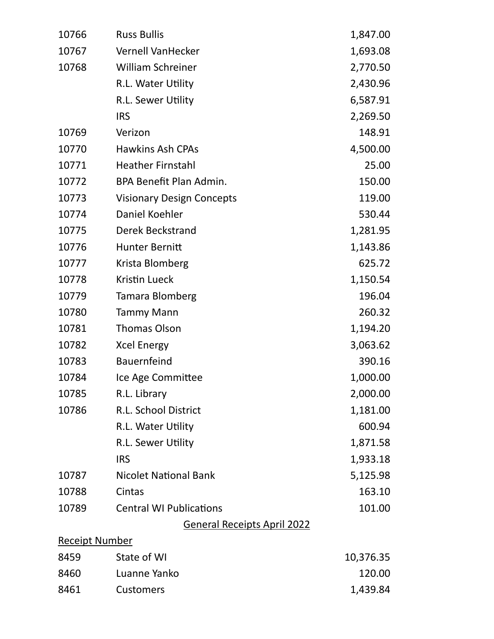| 10766                 | <b>Russ Bullis</b>                 | 1,847.00  |
|-----------------------|------------------------------------|-----------|
| 10767                 | <b>Vernell VanHecker</b>           | 1,693.08  |
| 10768                 | <b>William Schreiner</b>           | 2,770.50  |
|                       | R.L. Water Utility                 | 2,430.96  |
|                       | R.L. Sewer Utility                 | 6,587.91  |
|                       | <b>IRS</b>                         | 2,269.50  |
| 10769                 | Verizon                            | 148.91    |
| 10770                 | <b>Hawkins Ash CPAs</b>            | 4,500.00  |
| 10771                 | <b>Heather Firnstahl</b>           | 25.00     |
| 10772                 | BPA Benefit Plan Admin.            | 150.00    |
| 10773                 | <b>Visionary Design Concepts</b>   | 119.00    |
| 10774                 | Daniel Koehler                     | 530.44    |
| 10775                 | <b>Derek Beckstrand</b>            | 1,281.95  |
| 10776                 | <b>Hunter Bernitt</b>              | 1,143.86  |
| 10777                 | Krista Blomberg                    | 625.72    |
| 10778                 | <b>Kristin Lueck</b>               | 1,150.54  |
| 10779                 | Tamara Blomberg                    | 196.04    |
| 10780                 | <b>Tammy Mann</b>                  | 260.32    |
| 10781                 | <b>Thomas Olson</b>                | 1,194.20  |
| 10782                 | <b>Xcel Energy</b>                 | 3,063.62  |
| 10783                 | <b>Bauernfeind</b>                 | 390.16    |
| 10784                 | Ice Age Committee                  | 1,000.00  |
| 10785                 | R.L. Library                       | 2,000.00  |
| 10786                 | R.L. School District               | 1,181.00  |
|                       | R.L. Water Utility                 | 600.94    |
|                       | R.L. Sewer Utility                 | 1,871.58  |
|                       | <b>IRS</b>                         | 1,933.18  |
| 10787                 | <b>Nicolet National Bank</b>       | 5,125.98  |
| 10788                 | Cintas                             | 163.10    |
| 10789                 | <b>Central WI Publications</b>     | 101.00    |
|                       | <b>General Receipts April 2022</b> |           |
| <b>Receipt Number</b> |                                    |           |
| 8459                  | State of WI                        | 10,376.35 |
| 8460                  | Luanne Yanko                       | 120.00    |
| 8461                  | <b>Customers</b>                   | 1,439.84  |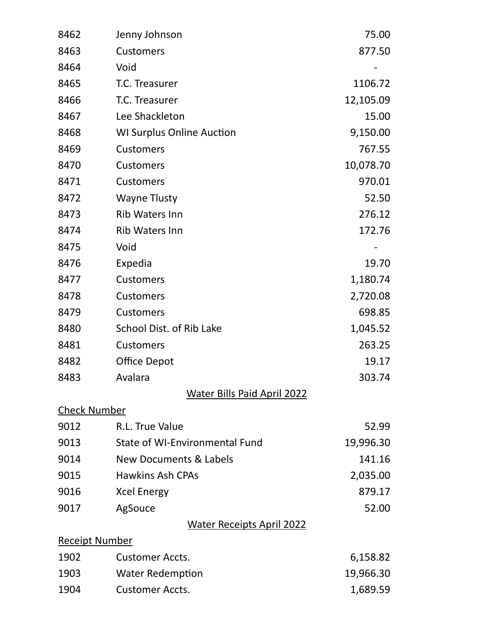| 8462                  | Jenny Johnson                      | 75.00     |
|-----------------------|------------------------------------|-----------|
| 8463                  | <b>Customers</b>                   | 877.50    |
| 8464                  | Void                               |           |
| 8465                  | T.C. Treasurer                     | 1106.72   |
| 8466                  | T.C. Treasurer                     | 12,105.09 |
| 8467                  | Lee Shackleton                     | 15.00     |
| 8468                  | <b>WI Surplus Online Auction</b>   | 9,150.00  |
| 8469                  | <b>Customers</b>                   | 767.55    |
| 8470                  | <b>Customers</b>                   | 10,078.70 |
| 8471                  | <b>Customers</b>                   | 970.01    |
| 8472                  | <b>Wayne Tlusty</b>                | 52.50     |
| 8473                  | <b>Rib Waters Inn</b>              | 276.12    |
| 8474                  | <b>Rib Waters Inn</b>              | 172.76    |
| 8475                  | Void                               |           |
| 8476                  | Expedia                            | 19.70     |
| 8477                  | <b>Customers</b>                   | 1,180.74  |
| 8478                  | <b>Customers</b>                   | 2,720.08  |
| 8479                  | <b>Customers</b>                   | 698.85    |
| 8480                  | School Dist. of Rib Lake           | 1,045.52  |
| 8481                  | <b>Customers</b>                   | 263.25    |
| 8482                  | <b>Office Depot</b>                | 19.17     |
| 8483                  | Avalara                            | 303.74    |
|                       | <b>Water Bills Paid April 2022</b> |           |
| <b>Check Number</b>   |                                    |           |
| 9012                  | R.L. True Value                    | 52.99     |
| 9013                  | State of WI-Environmental Fund     | 19,996.30 |
| 9014                  | New Documents & Labels             | 141.16    |
| 9015                  | <b>Hawkins Ash CPAs</b>            | 2,035.00  |
| 9016                  | <b>Xcel Energy</b>                 | 879.17    |
| 9017                  | AgSouce                            | 52.00     |
|                       | <b>Water Receipts April 2022</b>   |           |
| <b>Receipt Number</b> |                                    |           |
| 1902                  | <b>Customer Accts.</b>             | 6,158.82  |
| 1903                  | <b>Water Redemption</b>            | 19,966.30 |
| 1904                  | <b>Customer Accts.</b>             | 1,689.59  |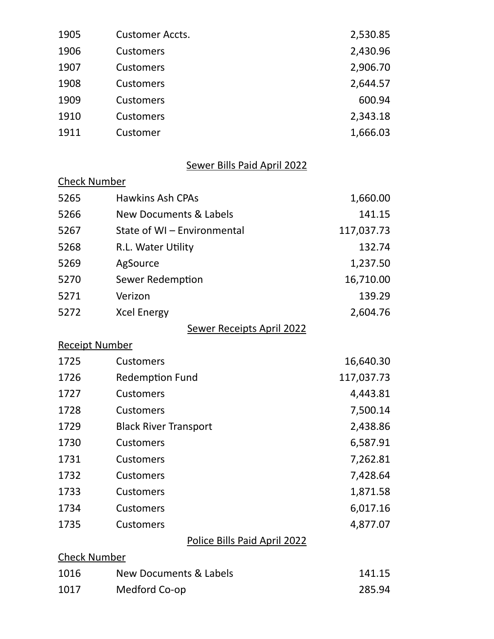| 1905 | <b>Customer Accts.</b> | 2,530.85 |
|------|------------------------|----------|
| 1906 | <b>Customers</b>       | 2,430.96 |
| 1907 | <b>Customers</b>       | 2,906.70 |
| 1908 | <b>Customers</b>       | 2,644.57 |
| 1909 | <b>Customers</b>       | 600.94   |
| 1910 | <b>Customers</b>       | 2,343.18 |
| 1911 | Customer               | 1,666.03 |
|      |                        |          |

### Sewer Bills Paid April 2022

# Check Number 5265 Hawkins Ash CPAs 1,660.00

| 5266 | New Documents & Labels      | 141.15     |
|------|-----------------------------|------------|
| 5267 | State of WI - Environmental | 117,037.73 |
| 5268 | R.L. Water Utility          | 132.74     |
| 5269 | AgSource                    | 1,237.50   |
| 5270 | Sewer Redemption            | 16,710.00  |
| 5271 | Verizon                     | 139.29     |
| 5272 | <b>Xcel Energy</b>          | 2,604.76   |
|      | Sewer Receipts April 2022   |            |

#### Receipt Number

| 1725 | <b>Customers</b>             | 16,640.30  |
|------|------------------------------|------------|
| 1726 | <b>Redemption Fund</b>       | 117,037.73 |
| 1727 | <b>Customers</b>             | 4,443.81   |
| 1728 | <b>Customers</b>             | 7,500.14   |
| 1729 | <b>Black River Transport</b> | 2,438.86   |
| 1730 | <b>Customers</b>             | 6,587.91   |
| 1731 | <b>Customers</b>             | 7,262.81   |
| 1732 | <b>Customers</b>             | 7,428.64   |
| 1733 | <b>Customers</b>             | 1,871.58   |
| 1734 | <b>Customers</b>             | 6,017.16   |
| 1735 | <b>Customers</b>             | 4,877.07   |
|      | Police Bills Paid April 2022 |            |
|      |                              |            |

## Check Number 1016 New Documents & Labels 141.15 1017 Medford Co-op 285.94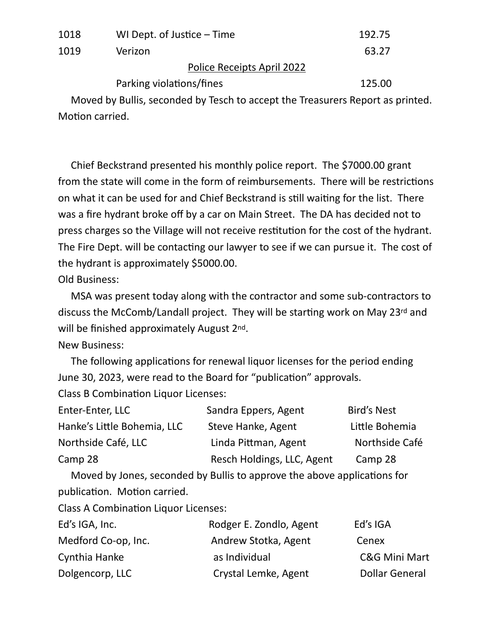| 1018 | WI Dept. of Justice – Time        | 192.75 |
|------|-----------------------------------|--------|
| 1019 | Verizon                           | 63.27  |
|      | <b>Police Receipts April 2022</b> |        |
|      | Parking violations/fines          | 125.00 |

 Moved by Bullis, seconded by Tesch to accept the Treasurers Report as printed. Motion carried.

 Chief Beckstrand presented his monthly police report. The \$7000.00 grant from the state will come in the form of reimbursements. There will be restrictions on what it can be used for and Chief Beckstrand is still waiting for the list. There was a fire hydrant broke off by a car on Main Street. The DA has decided not to press charges so the Village will not receive restitution for the cost of the hydrant. The Fire Dept. will be contacting our lawyer to see if we can pursue it. The cost of the hydrant is approximately \$5000.00.

Old Business:

 MSA was present today along with the contractor and some sub-contractors to discuss the McComb/Landall project. They will be starting work on May 23rd and will be finished approximately August 2<sup>nd</sup>.

New Business:

The following applications for renewal liquor licenses for the period ending June 30, 2023, were read to the Board for "publication" approvals.

Class B Combination Liquor Licenses:

| Enter-Enter, LLC            | Sandra Eppers, Agent       | <b>Bird's Nest</b> |
|-----------------------------|----------------------------|--------------------|
| Hanke's Little Bohemia, LLC | Steve Hanke, Agent         | Little Bohemia     |
| Northside Café, LLC         | Linda Pittman, Agent       | Northside Café     |
| Camp 28                     | Resch Holdings, LLC, Agent | Camp 28            |
|                             |                            |                    |

Moved by Jones, seconded by Bullis to approve the above applications for publication. Motion carried.

Class A Combination Liquor Licenses:

| Ed's IGA, Inc.      | Rodger E. Zondlo, Agent | Ed's IGA              |
|---------------------|-------------------------|-----------------------|
| Medford Co-op, Inc. | Andrew Stotka, Agent    | Cenex                 |
| Cynthia Hanke       | as Individual           | C&G Mini Mart         |
| Dolgencorp, LLC     | Crystal Lemke, Agent    | <b>Dollar General</b> |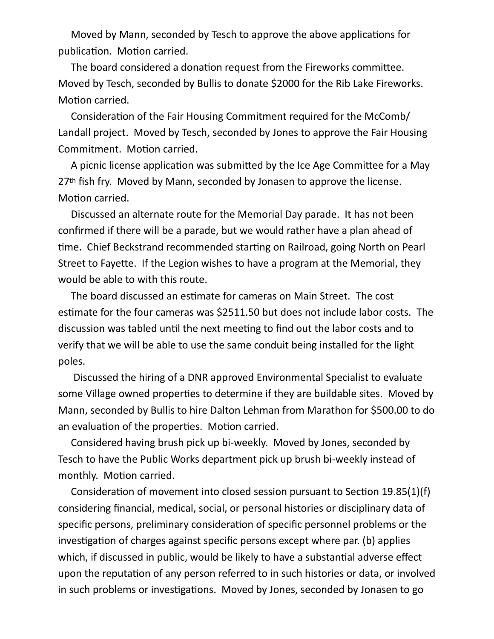Moved by Mann, seconded by Tesch to approve the above applications for publication. Motion carried.

The board considered a donation request from the Fireworks committee. Moved by Tesch, seconded by Bullis to donate \$2000 for the Rib Lake Fireworks. Motion carried.

Consideration of the Fair Housing Commitment required for the McComb/ Landall project. Moved by Tesch, seconded by Jones to approve the Fair Housing Commitment. Motion carried.

A picnic license application was submitted by the Ice Age Committee for a May 27<sup>th</sup> fish fry. Moved by Mann, seconded by Jonasen to approve the license. Motion carried.

 Discussed an alternate route for the Memorial Day parade. It has not been confirmed if there will be a parade, but we would rather have a plan ahead of time. Chief Beckstrand recommended starting on Railroad, going North on Pearl Street to Fayette. If the Legion wishes to have a program at the Memorial, they would be able to with this route.

The board discussed an estimate for cameras on Main Street. The cost estimate for the four cameras was \$2511.50 but does not include labor costs. The discussion was tabled until the next meeting to find out the labor costs and to verify that we will be able to use the same conduit being installed for the light poles.

 Discussed the hiring of a DNR approved Environmental Specialist to evaluate some Village owned properties to determine if they are buildable sites. Moved by Mann, seconded by Bullis to hire Dalton Lehman from Marathon for \$500.00 to do an evaluation of the properties. Motion carried.

 Considered having brush pick up bi-weekly. Moved by Jones, seconded by Tesch to have the Public Works department pick up brush bi-weekly instead of monthly. Motion carried.

Consideration of movement into closed session pursuant to Section 19.85(1)(f) considering financial, medical, social, or personal histories or disciplinary data of specific persons, preliminary consideration of specific personnel problems or the investigation of charges against specific persons except where par. (b) applies which, if discussed in public, would be likely to have a substantial adverse effect upon the reputation of any person referred to in such histories or data, or involved in such problems or investigations. Moved by Jones, seconded by Jonasen to go